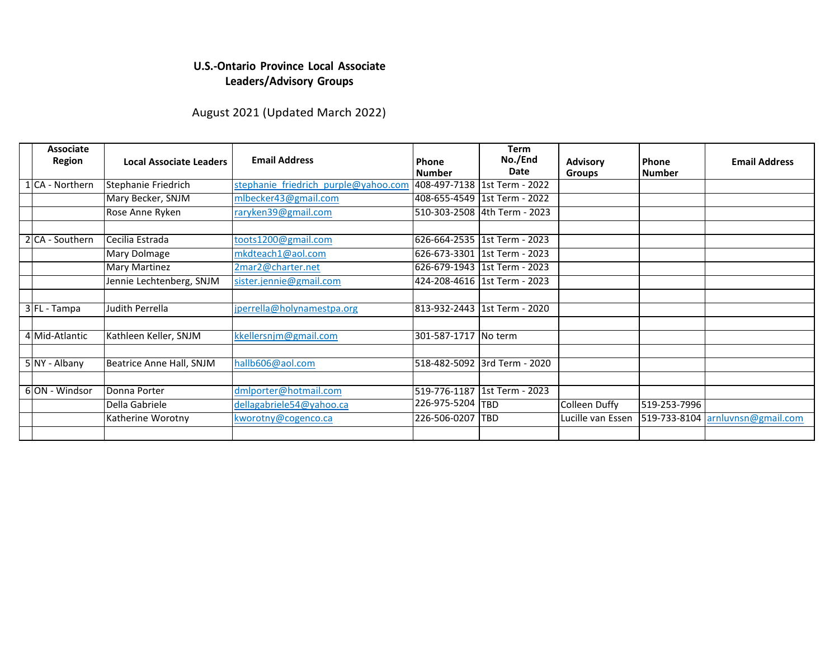## **U.S.-Ontario Province Local Associate Leaders/Advisory Groups**

## August 2021 (Updated March 2022)

| <b>Associate</b><br><b>Region</b> | <b>Local Associate Leaders</b> | <b>Email Address</b>                 | Phone<br><b>Number</b> | <b>Term</b><br>No./End<br>Date | <b>Advisory</b><br><b>Groups</b> | Phone<br><b>Number</b> | <b>Email Address</b> |
|-----------------------------------|--------------------------------|--------------------------------------|------------------------|--------------------------------|----------------------------------|------------------------|----------------------|
| 1 CA - Northern                   | Stephanie Friedrich            | stephanie friedrich purple@yahoo.com |                        | 408-497-7138 1st Term - 2022   |                                  |                        |                      |
|                                   | Mary Becker, SNJM              | mlbecker43@gmail.com                 |                        | 408-655-4549   1st Term - 2022 |                                  |                        |                      |
|                                   | Rose Anne Ryken                | raryken39@gmail.com                  |                        | 510-303-2508 4th Term - 2023   |                                  |                        |                      |
|                                   |                                |                                      |                        |                                |                                  |                        |                      |
| 2 CA - Southern                   | lCecilia Estrada               | toots1200@gmail.com                  | 626-664-2535           | 1st Term - 2023                |                                  |                        |                      |
|                                   | Mary Dolmage                   | mkdteach1@aol.com                    |                        | 626-673-3301   1st Term - 2023 |                                  |                        |                      |
|                                   | <b>Mary Martinez</b>           | 2mar2@charter.net                    |                        | 626-679-1943 1st Term - 2023   |                                  |                        |                      |
|                                   | Jennie Lechtenberg, SNJM       | sister.jennie@gmail.com              |                        | 424-208-4616 1st Term - 2023   |                                  |                        |                      |
|                                   |                                |                                      |                        |                                |                                  |                        |                      |
| 3 FL - Tampa                      | Judith Perrella                | jperrella@holynamestpa.org           | 813-932-2443           | l 1st Term - 2020              |                                  |                        |                      |
|                                   |                                |                                      |                        |                                |                                  |                        |                      |
| 4 Mid-Atlantic                    | Kathleen Keller, SNJM          | kkellersnim@gmail.com                | 301-587-1717           | No term                        |                                  |                        |                      |
|                                   |                                |                                      |                        |                                |                                  |                        |                      |
| 5 NY - Albany                     | Beatrice Anne Hall, SNJM       | hallb606@aol.com                     |                        | 518-482-5092 3rd Term - 2020   |                                  |                        |                      |
|                                   |                                |                                      |                        |                                |                                  |                        |                      |
| 6 ON - Windsor                    | Donna Porter                   | dmlporter@hotmail.com                | 519-776-1187           | 1st Term - 2023                |                                  |                        |                      |
|                                   | Della Gabriele                 | dellagabriele54@yahoo.ca             | 226-975-5204 TBD       |                                | Colleen Duffy                    | 519-253-7996           |                      |
|                                   | Katherine Worotny              | kworotny@cogenco.ca                  | 226-506-0207           | <b>TBD</b>                     | Lucille van Essen                | 519-733-8104           | arnluvnsn@gmail.com  |
|                                   |                                |                                      |                        |                                |                                  |                        |                      |